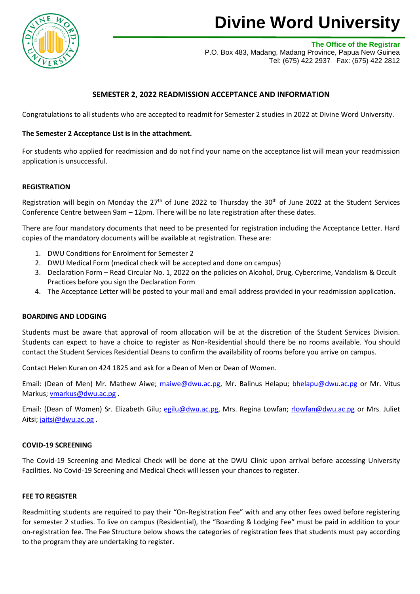

# **Divine Word University**

**The Office of the Registrar**

P.O. Box 483, Madang, Madang Province, Papua New Guinea Tel: (675) 422 2937 Fax: (675) 422 2812

## **SEMESTER 2, 2022 READMISSION ACCEPTANCE AND INFORMATION**

Congratulations to all students who are accepted to readmit for Semester 2 studies in 2022 at Divine Word University.

### **The Semester 2 Acceptance List is in the attachment.**

For students who applied for readmission and do not find your name on the acceptance list will mean your readmission application is unsuccessful.

#### **REGISTRATION**

Registration will begin on Monday the 27<sup>th</sup> of June 2022 to Thursday the 30<sup>th</sup> of June 2022 at the Student Services Conference Centre between 9am – 12pm. There will be no late registration after these dates.

There are four mandatory documents that need to be presented for registration including the Acceptance Letter. Hard copies of the mandatory documents will be available at registration. These are:

- 1. DWU Conditions for Enrolment for Semester 2
- 2. DWU Medical Form (medical check will be accepted and done on campus)
- 3. Declaration Form Read Circular No. 1, 2022 on the policies on Alcohol, Drug, Cybercrime, Vandalism & Occult Practices before you sign the Declaration Form
- 4. The Acceptance Letter will be posted to your mail and email address provided in your readmission application.

#### **BOARDING AND LODGING**

Students must be aware that approval of room allocation will be at the discretion of the Student Services Division. Students can expect to have a choice to register as Non-Residential should there be no rooms available. You should contact the Student Services Residential Deans to confirm the availability of rooms before you arrive on campus.

Contact Helen Kuran on 424 1825 and ask for a Dean of Men or Dean of Women.

Email: (Dean of Men) Mr. Mathew Aiwe; [maiwe@dwu.ac.pg,](mailto:maiwe@dwu.ac.pg) Mr. Balinus Helapu; [bhelapu@dwu.ac.pg](mailto:bhelapu@dwu.ac.pg) or Mr. Vitus Markus; [vmarkus@dwu.ac.pg](mailto:vmarkus@dwu.ac.pg) .

Email: (Dean of Women) Sr. Elizabeth Gilu; [egilu@dwu.ac.pg,](mailto:egilu@dwu.ac.pg) Mrs. Regina Lowfan; [rlowfan@dwu.ac.pg](mailto:rlowfan@dwu.ac.pg) or Mrs. Juliet Aitsi; [jaitsi@dwu.ac.pg](mailto:jaitsi@dwu.ac.pg).

#### **COVID-19 SCREENING**

The Covid-19 Screening and Medical Check will be done at the DWU Clinic upon arrival before accessing University Facilities. No Covid-19 Screening and Medical Check will lessen your chances to register.

#### **FEE TO REGISTER**

Readmitting students are required to pay their "On-Registration Fee" with and any other fees owed before registering for semester 2 studies. To live on campus (Residential), the "Boarding & Lodging Fee" must be paid in addition to your on-registration fee. The Fee Structure below shows the categories of registration fees that students must pay according to the program they are undertaking to register.